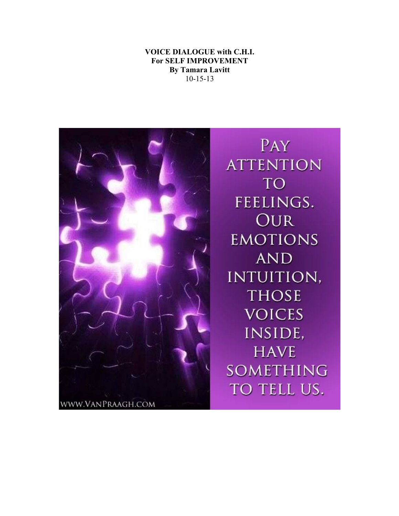## **VOICE DIALOGUE with C.H.I. For SELF IMPROVEMENT By Tamara Lavitt** 10-15-13



PAY **ATTENTION TO** FEELINGS. **OUR EMOTIONS AND** INTUITION, **THOSE VOICES** INSIDE, **HAVE** SOMETHING TO TELL US.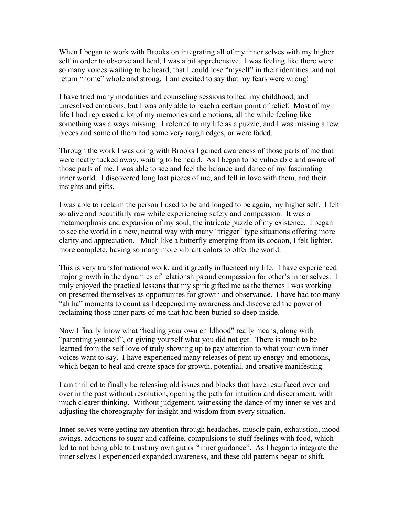When I began to work with Brooks on integrating all of my inner selves with my higher self in order to observe and heal, I was a bit apprehensive. I was feeling like there were so many voices waiting to be heard, that I could lose "myself" in their identities, and not return "home" whole and strong. I am excited to say that my fears were wrong!

I have tried many modalities and counseling sessions to heal my childhood, and unresolved emotions, but I was only able to reach a certain point of relief. Most of my life I had repressed a lot of my memories and emotions, all the while feeling like something was always missing. I referred to my life as a puzzle, and I was missing a few pieces and some of them had some very rough edges, or were faded.

Through the work I was doing with Brooks I gained awareness of those parts of me that were neatly tucked away, waiting to be heard. As I began to be vulnerable and aware of those parts of me, I was able to see and feel the balance and dance of my fascinating inner world. I discovered long lost pieces of me, and fell in love with them, and their insights and gifts.

I was able to reclaim the person I used to be and longed to be again, my higher self. I felt so alive and beautifully raw while experiencing safety and compassion. It was a metamorphosis and expansion of my soul, the intricate puzzle of my existence. I began to see the world in a new, neutral way with many "trigger" type situations offering more clarity and appreciation. Much like a butterfly emerging from its cocoon, I felt lighter, more complete, having so many more vibrant colors to offer the world.

This is very transformational work, and it greatly influenced my life. I have experienced major growth in the dynamics of relationships and compassion for other's inner selves. I truly enjoyed the practical lessons that my spirit gifted me as the themes I was working on presented themselves as opportunites for growth and observance. I have had too many "ah ha" moments to count as I deepened my awareness and discovered the power of reclaiming those inner parts of me that had been buried so deep inside.

Now I finally know what "healing your own childhood" really means, along with "parenting yourself", or giving yourself what you did not get. There is much to be learned from the self love of truly showing up to pay attention to what your own inner voices want to say. I have experienced many releases of pent up energy and emotions, which began to heal and create space for growth, potential, and creative manifesting.

I am thrilled to finally be releasing old issues and blocks that have resurfaced over and over in the past without resolution, opening the path for intuition and discernment, with much clearer thinking. Without judgement, witnessing the dance of my inner selves and adjusting the choreography for insight and wisdom from every situation.

Inner selves were getting my attention through headaches, muscle pain, exhaustion, mood swings, addictions to sugar and caffeine, compulsions to stuff feelings with food, which led to not being able to trust my own gut or "inner guidance". As I began to integrate the inner selves I experienced expanded awareness, and these old patterns began to shift.